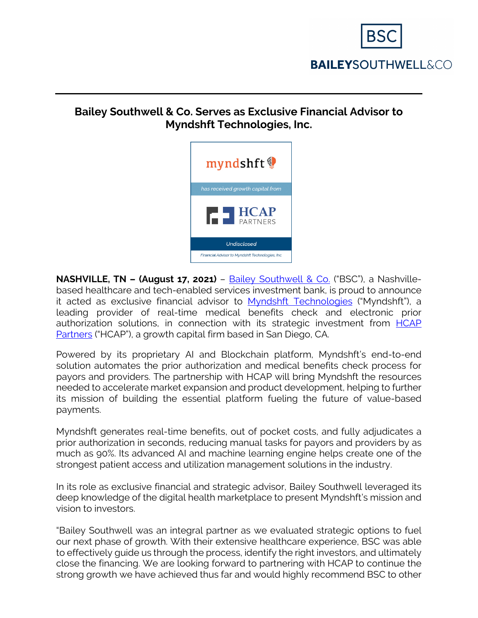

# **BAILEYSOUTHWELL&CO**

### **Bailey Southwell & Co. Serves as Exclusive Financial Advisor to Myndshft Technologies, Inc.**



**NASHVILLE, TN - (August 17, 2021)** - [Bailey Southwell & Co.](https://www.baileysouthwell.com/) ("BSC"), a Nashvillebased healthcare and tech-enabled services investment bank, is proud to announce it acted as exclusive financial advisor to [Myndshft](https://www.myndshft.com/) Technologies ("Myndshft"), a leading provider of real-time medical benefits check and electronic prior authorization solutions, in connection with its strategic investment from [HCAP](https://www.hcapllc.com/) [Partners](https://www.hcapllc.com/) ("HCAP"), a growth capital firm based in San Diego, CA.

Powered by its proprietary AI and Blockchain platform, Myndshft's end-to-end solution automates the prior authorization and medical benefits check process for payors and providers. The partnership with HCAP will bring Myndshft the resources needed to accelerate market expansion and product development, helping to further its mission of building the essential platform fueling the future of value-based payments.

Myndshft generates real-time benefits, out of pocket costs, and fully adjudicates a prior authorization in seconds, reducing manual tasks for payors and providers by as much as 90%. Its advanced AI and machine learning engine helps create one of the strongest patient access and utilization management solutions in the industry.

In its role as exclusive financial and strategic advisor, Bailey Southwell leveraged its deep knowledge of the digital health marketplace to present Myndshft's mission and vision to investors.

"Bailey Southwell was an integral partner as we evaluated strategic options to fuel our next phase of growth. With their extensive healthcare experience, BSC was able to effectively guide us through the process, identify the right investors, and ultimately close the financing. We are looking forward to partnering with HCAP to continue the strong growth we have achieved thus far and would highly recommend BSC to other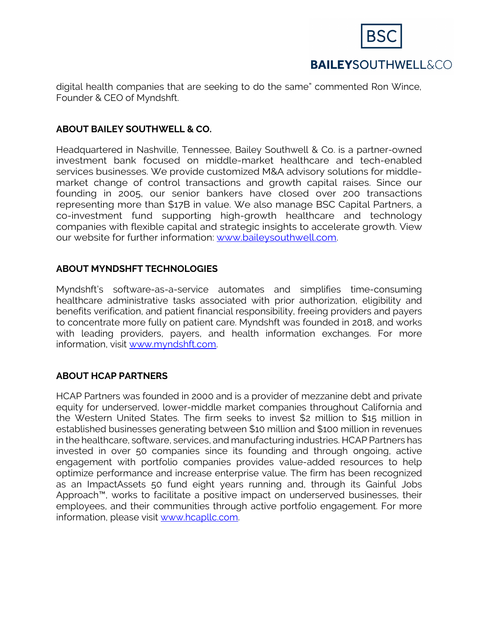

## **BAILEYSOUTHWELL&CO**

digital health companies that are seeking to do the same" commented Ron Wince, Founder & CEO of Myndshft.

#### **ABOUT BAILEY SOUTHWELL & CO.**

Headquartered in Nashville, Tennessee, Bailey Southwell & Co. is a partner-owned investment bank focused on middle-market healthcare and tech-enabled services businesses. We provide customized M&A advisory solutions for middlemarket change of control transactions and growth capital raises. Since our founding in 2005, our senior bankers have closed over 200 transactions representing more than \$17B in value. We also manage BSC Capital Partners, a co-investment fund supporting high-growth healthcare and technology companies with flexible capital and strategic insights to accelerate growth. View our website for further information: [www.baileysouthwell.com.](http://www.baileysouthwell.com/)

#### **ABOUT MYNDSHFT TECHNOLOGIES**

Myndshft's software-as-a-service automates and simplifies time-consuming healthcare administrative tasks associated with prior authorization, eligibility and benefits verification, and patient financial responsibility, freeing providers and payers to concentrate more fully on patient care. Myndshft was founded in 2018, and works with leading providers, payers, and health information exchanges. For more information, visit [www.myndshft.com.](http://www.myndshft.com/)

#### **ABOUT HCAP PARTNERS**

HCAP Partners was founded in 2000 and is a provider of mezzanine debt and private equity for underserved, lower-middle market companies throughout California and the Western United States. The firm seeks to invest \$2 million to \$15 million in established businesses generating between \$10 million and \$100 million in revenues in the healthcare, software, services, and manufacturing industries. HCAP Partners has invested in over 50 companies since its founding and through ongoing, active engagement with portfolio companies provides value-added resources to help optimize performance and increase enterprise value. The firm has been recognized as an ImpactAssets 50 fund eight years running and, through its Gainful Jobs Approach™, works to facilitate a positive impact on underserved businesses, their employees, and their communities through active portfolio engagement. For more information, please visit [www.hcapllc.com.](http://www.hcapllc.com/)